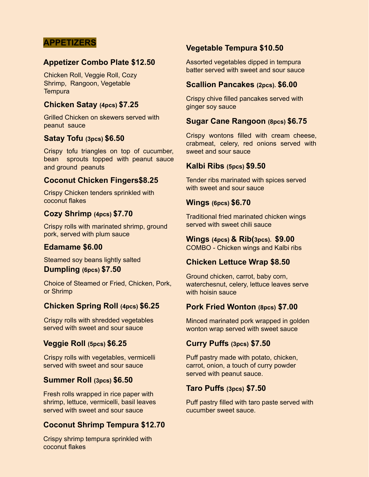## **APPETIZERS**

## **Appetizer Combo Plate \$12.50**

Chicken Roll, Veggie Roll, Cozy Shrimp, Rangoon, Vegetable **Tempura** 

## **Chicken Satay (4pcs) \$7.25**

Grilled Chicken on skewers served with peanut sauce

#### **Satay Tofu (3pcs) \$6.50**

Crispy tofu triangles on top of cucumber, bean sprouts topped with peanut sauce and ground peanuts

#### **Coconut Chicken Fingers\$8.25**

Crispy Chicken tenders sprinkled with coconut flakes

## **Cozy Shrimp (4pcs) \$7.70**

Crispy rolls with marinated shrimp, ground pork, served with plum sauce

#### **Edamame \$6.00**

Steamed soy beans lightly salted

#### **Dumpling (6pcs) \$7.50**

Choice of Steamed or Fried, Chicken, Pork, or Shrimp

#### **Chicken Spring Roll (4pcs) \$6.25**

Crispy rolls with shredded vegetables served with sweet and sour sauce

## **Veggie Roll (5pcs) \$6.25**

Crispy rolls with vegetables, vermicelli served with sweet and sour sauce

## **Summer Roll (3pcs) \$6.50**

Fresh rolls wrapped in rice paper with shrimp, lettuce, vermicelli, basil leaves served with sweet and sour sauce

## **Coconut Shrimp Tempura \$12.70**

Crispy shrimp tempura sprinkled with coconut flakes

## **Vegetable Tempura \$10.50**

Assorted vegetables dipped in tempura batter served with sweet and sour sauce

#### **Scallion Pancakes (2pcs). \$6.00**

Crispy chive filled pancakes served with ginger soy sauce

#### **Sugar Cane Rangoon (8pcs) \$6.75**

Crispy wontons filled with cream cheese, crabmeat, celery, red onions served with sweet and sour sauce

#### **Kalbi Ribs (5pcs) \$9.50**

Tender ribs marinated with spices served with sweet and sour sauce

#### **Wings (6pcs) \$6.70**

Traditional fried marinated chicken wings served with sweet chili sauce

#### **Wings (4pcs) & Rib(3pcs). \$9.00**

COMBO - Chicken wings and Kalbi ribs

## **Chicken Lettuce Wrap \$8.50**

Ground chicken, carrot, baby corn, waterchesnut, celery, lettuce leaves serve with hoisin sauce

## **Pork Fried Wonton (8pcs) \$7.00**

Minced marinated pork wrapped in golden wonton wrap served with sweet sauce

#### **Curry Puffs (3pcs) \$7.50**

Puff pastry made with potato, chicken, carrot, onion, a touch of curry powder served with peanut sauce.

#### **Taro Puffs (3pcs) \$7.50**

Puff pastry filled with taro paste served with cucumber sweet sauce.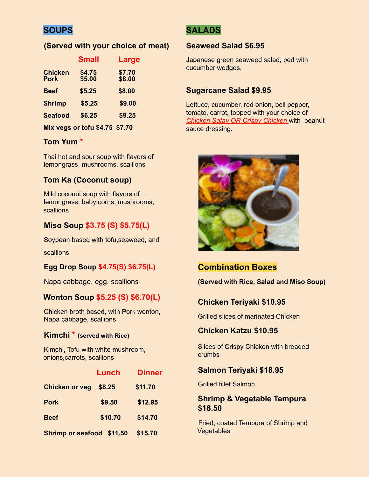# **SOUPS**

## **(Served with your choice of meat)**

|                               | <b>Small</b>                   | Large            |
|-------------------------------|--------------------------------|------------------|
| <b>Chicken</b><br><b>Pork</b> | \$4.75<br>\$5.00               | \$7.70<br>\$8.00 |
| <b>Beef</b>                   | \$5.25                         | \$8.00           |
| <b>Shrimp</b>                 | \$5.25                         | \$9.00           |
| <b>Seafood</b>                | \$6.25                         | \$9.25           |
|                               | Mix vegs or tofu \$4.75 \$7.70 |                  |

# **Tom Yum \***

Thai hot and sour soup with flavors of lemongrass, mushrooms, scallions

## **Tom Ka (Coconut soup)**

Mild coconut soup with flavors of lemongrass, baby corns, mushrooms, scallions

# **Miso Soup \$3.75 (S) \$5.75(L)**

Soybean based with tofu,seaweed, and

scallions

## **Egg Drop Soup \$4.75(S) \$6.75(L)**

Napa cabbage, egg, scallions

## **Wonton Soup \$5.25 (S) \$6.70(L)**

Chicken broth based, with Pork wonton, Napa cabbage, scallions

#### **Kimchi \* (served with Rice)**

Kimchi, Tofu with white mushroom, onions,carrots, scallions

|                           | Lunch   | <b>Dinner</b> |
|---------------------------|---------|---------------|
| <b>Chicken or veg</b>     | \$8.25  | \$11.70       |
| <b>Pork</b>               | \$9.50  | \$12.95       |
| <b>Beef</b>               | \$10.70 | \$14.70       |
| Shrimp or seafood \$11.50 |         | \$15.70       |

# **SALADS**

#### **Seaweed Salad \$6.95**

Japanese green seaweed salad, bed with cucumber wedges.

## **Sugarcane Salad \$9.95**

Lettuce, cucumber, red onion, bell pepper, tomato, carrot, topped with your choice of *Chicken Satay OR Crispy Chicken* with peanut sauce dressing.



# **Combination Boxes**

**(Served with Rice, Salad and Miso Soup)**

# **Chicken Teriyaki \$10.95**

Grilled slices of marinated Chicken

## **Chicken Katzu \$10.95**

Slices of Crispy Chicken with breaded crumbs

#### **Salmon Teriyaki \$18.95**

Grilled fillet Salmon

## **Shrimp & Vegetable Tempura \$18.50**

Fried, coated Tempura of Shrimp and **Vegetables**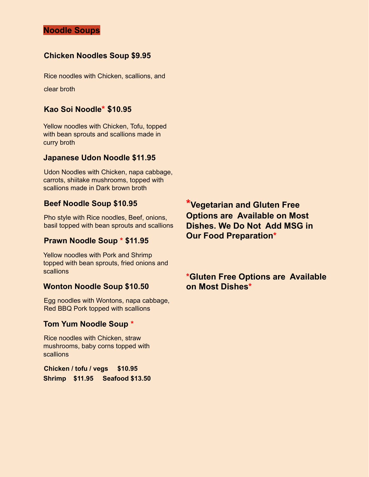# **Noodle Soups**

#### **Chicken Noodles Soup \$9.95**

Rice noodles with Chicken, scallions, and clear broth

#### **Kao Soi Noodle\* \$10.95**

Yellow noodles with Chicken, Tofu, topped with bean sprouts and scallions made in curry broth

#### **Japanese Udon Noodle \$11.95**

Udon Noodles with Chicken, napa cabbage, carrots, shiitake mushrooms, topped with scallions made in Dark brown broth

#### **Beef Noodle Soup \$10.95**

Pho style with Rice noodles, Beef, onions, basil topped with bean sprouts and scallions

#### **Prawn Noodle Soup \* \$11.95**

Yellow noodles with Pork and Shrimp topped with bean sprouts, fried onions and scallions

#### **Wonton Noodle Soup \$10.50**

Egg noodles with Wontons, napa cabbage, Red BBQ Pork topped with scallions

#### **Tom Yum Noodle Soup \***

Rice noodles with Chicken, straw mushrooms, baby corns topped with scallions

**Chicken / tofu / vegs \$10.95 Shrimp \$11.95 Seafood \$13.50** **\*Vegetarian and Gluten Free Options are Available on Most Dishes. We Do Not Add MSG in Our Food Preparation\***

# **\*Gluten Free Options are Available on Most Dishes\***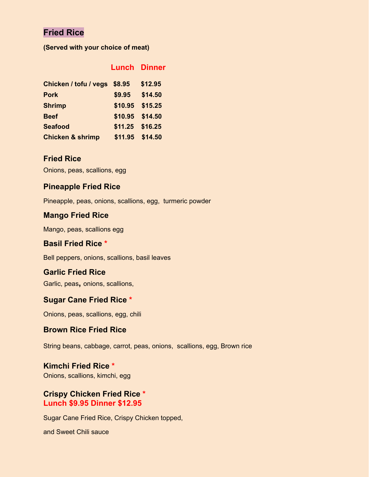# **Fried Rice**

**(Served with your choice of meat)**

|                              |         | <b>Lunch Dinner</b> |
|------------------------------|---------|---------------------|
| Chicken / tofu / vegs \$8.95 |         | \$12.95             |
| <b>Pork</b>                  | \$9.95  | \$14.50             |
| <b>Shrimp</b>                | \$10.95 | \$15.25             |
| <b>Beef</b>                  | \$10.95 | \$14.50             |
| <b>Seafood</b>               | \$11.25 | \$16.25             |
| <b>Chicken &amp; shrimp</b>  | \$11.95 | \$14.50             |
|                              |         |                     |

# **Fried Rice**

Onions, peas, scallions, egg

## **Pineapple Fried Rice**

Pineapple, peas, onions, scallions, egg, turmeric powder

## **Mango Fried Rice**

Mango, peas, scallions egg

## **Basil Fried Rice \***

Bell peppers, onions, scallions, basil leaves

## **Garlic Fried Rice**

Garlic, peas**,** onions, scallions,

#### **Sugar Cane Fried Rice \***

Onions, peas, scallions, egg, chili

#### **Brown Rice Fried Rice**

String beans, cabbage, carrot, peas, onions, scallions, egg, Brown rice

# **Kimchi Fried Rice \***

Onions, scallions, kimchi, egg

## **Crispy Chicken Fried Rice \* Lunch \$9.95 Dinner \$12.95**

Sugar Cane Fried Rice, Crispy Chicken topped,

and Sweet Chili sauce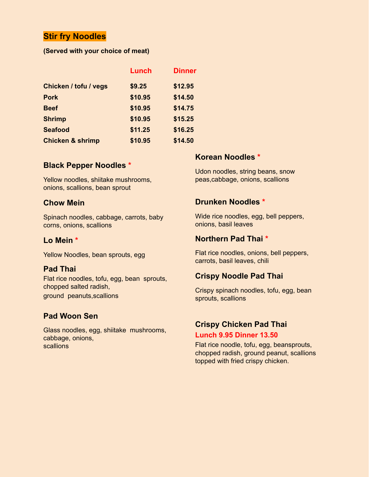# **Stir fry Noodles**

#### **(Served with your choice of meat)**

| Lunch   | <b>Dinner</b> |
|---------|---------------|
| \$9.25  | \$12.95       |
| \$10.95 | \$14.50       |
| \$10.95 | \$14.75       |
| \$10.95 | \$15.25       |
| \$11.25 | \$16.25       |
| \$10.95 | \$14.50       |
|         |               |

#### **Black Pepper Noodles \***

Yellow noodles, shiitake mushrooms, onions, scallions, bean sprout

#### **Chow Mein**

Spinach noodles, cabbage, carrots, baby corns, onions, scallions

#### **Lo Mein \***

Yellow Noodles, bean sprouts, egg

#### **Pad Thai**

Flat rice noodles, tofu, egg, bean sprouts, chopped salted radish, ground peanuts,scallions

## **Pad Woon Sen**

Glass noodles, egg, shiitake mushrooms, cabbage, onions, scallions

#### **Korean Noodles \***

Udon noodles, string beans, snow peas,cabbage, onions, scallions

#### **Drunken Noodles \***

Wide rice noodles, egg, bell peppers, onions, basil leaves

#### **Northern Pad Thai \***

Flat rice noodles, onions, bell peppers, carrots, basil leaves, chili

## **Crispy Noodle Pad Thai**

Crispy spinach noodles, tofu, egg, bean sprouts, scallions

# **Crispy Chicken Pad Thai**

**Lunch 9.95 Dinner 13.50**

Flat rice noodle, tofu, egg, beansprouts, chopped radish, ground peanut, scallions topped with fried crispy chicken.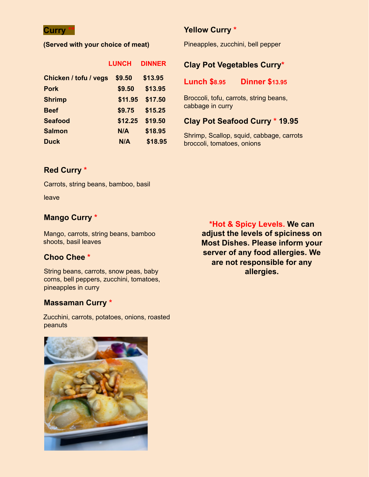## **Curry \*\***

#### **(Served with your choice of meat)**

|                       | <b>LUNCH</b> | <b>DINNER</b> |
|-----------------------|--------------|---------------|
| Chicken / tofu / vegs | \$9.50       | \$13.95       |
| <b>Pork</b>           | \$9.50       | \$13.95       |
| <b>Shrimp</b>         | \$11.95      | \$17.50       |
| <b>Beef</b>           | \$9.75       | \$15.25       |
| <b>Seafood</b>        | \$12.25      | \$19.50       |
| <b>Salmon</b>         | N/A          | \$18.95       |
| <b>Duck</b>           | N/A          | \$18.95       |

## **Yellow Curry \***

Pineapples, zucchini, bell pepper

# **Clay Pot Vegetables Curry\***

#### **Lunch \$8.95 Dinner \$13.95**

Broccoli, tofu, carrots, string beans, cabbage in curry

## **Clay Pot Seafood Curry \* 19.95**

Shrimp, Scallop, squid, cabbage, carrots broccoli, tomatoes, onions

# **Red Curry \***

Carrots, string beans, bamboo, basil

leave

# **Mango Curry \***

Mango, carrots, string beans, bamboo shoots, basil leaves

## **Choo Chee \***

String beans, carrots, snow peas, baby corns, bell peppers, zucchini, tomatoes, pineapples in curry

# **Massaman Curry \***

Zucchini, carrots, potatoes, onions, roasted peanuts

**\*Hot & Spicy Levels. We can adjust the levels of spiciness on Most Dishes. Please inform your server of any food allergies. We are not responsible for any allergies.**

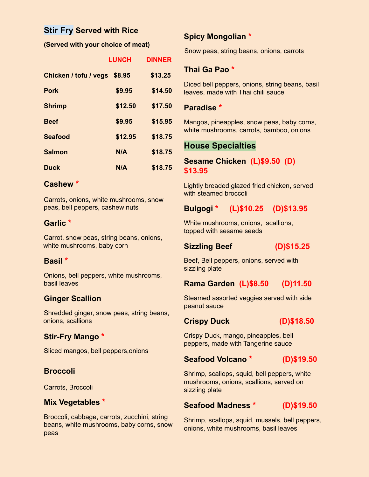# **Stir Fry Served with Rice**

#### **(Served with your choice of meat)**

|                       | <b>LUNCH</b> | <b>DINNER</b> |
|-----------------------|--------------|---------------|
| Chicken / tofu / vegs | \$8.95       | \$13.25       |
| <b>Pork</b>           | \$9.95       | \$14.50       |
| <b>Shrimp</b>         | \$12.50      | \$17.50       |
| <b>Beef</b>           | \$9.95       | \$15.95       |
| <b>Seafood</b>        | \$12.95      | \$18.75       |
| <b>Salmon</b>         | N/A          | \$18.75       |
| <b>Duck</b>           | N/A          | \$18.75       |

# **Cashew \***

Carrots, onions, white mushrooms, snow peas, bell peppers, cashew nuts

## **Garlic \***

Carrot, snow peas, string beans, onions, white mushrooms, baby corn

## **Basil \***

Onions, bell peppers, white mushrooms, basil leaves

# **Ginger Scallion**

Shredded ginger, snow peas, string beans, onions, scallions

# **Stir-Fry Mango \***

Sliced mangos, bell peppers,onions

## **Broccoli**

Carrots, Broccoli

## **Mix Vegetables \***

Broccoli, cabbage, carrots, zucchini, string beans, white mushrooms, baby corns, snow peas

# **Spicy Mongolian \***

Snow peas, string beans, onions, carrots

## **Thai Ga Pao \***

Diced bell peppers, onions, string beans, basil leaves, made with Thai chili sauce

#### **Paradise \***

Mangos, pineapples, snow peas, baby corns, white mushrooms, carrots, bamboo, onions

# **House Specialties**

# **Sesame Chicken (L)\$9.50 (D) \$13.95**

Lightly breaded glazed fried chicken, served with steamed broccoli

# **Bulgogi \* (L)\$10.25 (D)\$13.95**

White mushrooms, onions, scallions, topped with sesame seeds

## **Sizzling Beef (D)\$15.25**

Beef, Bell peppers, onions, served with sizzling plate

## **Rama Garden (L)\$8.50 (D)11.50**

Steamed assorted veggies served with side peanut sauce

#### **Crispy Duck (D)\$18.50**

Crispy Duck, mango, pineapples, bell peppers, made with Tangerine sauce

## **Seafood Volcano \* (D)\$19.50**

Shrimp, scallops, squid, bell peppers, white mushrooms, onions, scallions, served on sizzling plate

# **Seafood Madness \* (D)\$19.50**

Shrimp, scallops, squid, mussels, bell peppers, onions, white mushrooms, basil leaves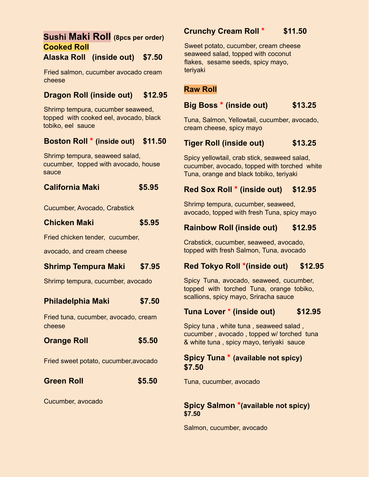# **Sushi Maki Roll (8pcs per order) Cooked Roll**

# **Alaska Roll (inside out) \$7.50**

Fried salmon, cucumber avocado cream cheese

# **Dragon Roll (inside out) \$12.95**

Shrimp tempura, cucumber seaweed, topped with cooked eel, avocado, black tobiko, eel sauce

## **Boston Roll \* (inside out) \$11.50**

Shrimp tempura, seaweed salad, cucumber, topped with avocado, house sauce

| <b>California Maki</b> | \$5.95 |
|------------------------|--------|
|                        |        |

Cucumber, Avocado, Crabstick

| <b>Chicken Maki</b>             | \$5.95 |
|---------------------------------|--------|
| Fried chicken tender, cucumber, |        |

avocado, and cream cheese

# **Shrimp Tempura Maki \$7.95**

Shrimp tempura, cucumber, avocado

## **Philadelphia Maki \$7.50**

Fried tuna, cucumber, avocado, cream cheese

| <b>Orange Roll</b> | \$5.50 |
|--------------------|--------|
|                    |        |

Fried sweet potato, cucumber,avocado

## **Green Roll \$5.50**

Cucumber, avocado

# **Crunchy Cream Roll \* \$11.50**

Sweet potato, cucumber, cream cheese seaweed salad, topped with coconut flakes, sesame seeds, spicy mayo, teriyaki

# **Raw Roll**

## **Big Boss \* (inside out) \$13.25**

Tuna, Salmon, Yellowtail, cucumber, avocado, cream cheese, spicy mayo

# **Tiger Roll (inside out) \$13.25**

Spicy yellowtail, crab stick, seaweed salad, cucumber, avocado, topped with torched white Tuna, orange and black tobiko, teriyaki

## **Red Sox Roll \* (inside out) \$12.95**

Shrimp tempura, cucumber, seaweed, avocado, topped with fresh Tuna, spicy mayo

# **Rainbow Roll (inside out) \$12.95**

Crabstick, cucumber, seaweed, avocado, topped with fresh Salmon, Tuna, avocado

## **Red Tokyo Roll \*(inside out) \$12.95**

Spicy Tuna, avocado, seaweed, cucumber, topped with torched Tuna, orange tobiko, scallions, spicy mayo, Sriracha sauce

# **Tuna Lover \* (inside out) \$12.95**

Spicy tuna , white tuna , seaweed salad , cucumber , avocado , topped w/ torched tuna & white tuna , spicy mayo, teriyaki sauce

## **Spicy Tuna \* (available not spicy) \$7.50**

Tuna, cucumber, avocado

#### **Spicy Salmon \*(available not spicy) \$7.50**

Salmon, cucumber, avocado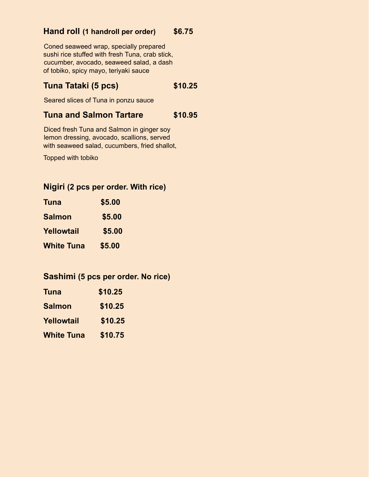# **Hand roll (1 handroll per order) \$6.75**

Coned seaweed wrap, specially prepared sushi rice stuffed with fresh Tuna, crab stick, cucumber, avocado, seaweed salad, a dash of tobiko, spicy mayo, teriyaki sauce

# **Tuna Tataki (5 pcs) \$10.25**

Seared slices of Tuna in ponzu sauce

# **Tuna and Salmon Tartare \$10.95**

Diced fresh Tuna and Salmon in ginger soy lemon dressing, avocado, scallions, served with seaweed salad, cucumbers, fried shallot,

Topped with tobiko

# **Nigiri (2 pcs per order. With rice)**

| Tuna              | \$5.00 |  |
|-------------------|--------|--|
| <b>Salmon</b>     | \$5.00 |  |
| Yellowtail        | \$5.00 |  |
| <b>White Tuna</b> | \$5.00 |  |

# **Sashimi (5 pcs per order. No rice)**

| Tuna              | \$10.25 |
|-------------------|---------|
| <b>Salmon</b>     | \$10.25 |
| Yellowtail        | \$10.25 |
| <b>White Tuna</b> | \$10.75 |